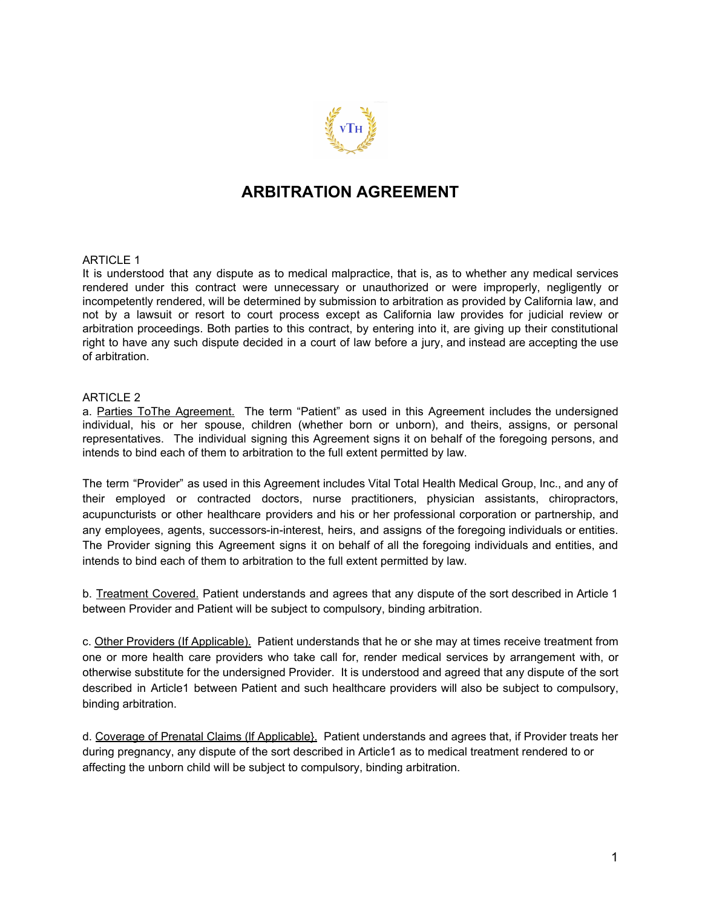

# **ARBITRATION AGREEMENT**

### ARTICLE 1

It is understood that any dispute as to medical malpractice, that is, as to whether any medical services rendered under this contract were unnecessary or unauthorized or were improperly, negligently or incompetently rendered, will be determined by submission to arbitration as provided by California law, and not by a lawsuit or resort to court process except as California law provides for judicial review or arbitration proceedings. Both parties to this contract, by entering into it, are giving up their constitutional right to have any such dispute decided in a court of law before a jury, and instead are accepting the use of arbitration.

### ARTICLE 2

a. Parties ToThe Agreement. The term "Patient" as used in this Agreement includes the undersigned individual, his or her spouse, children (whether born or unborn), and theirs, assigns, or personal representatives. The individual signing this Agreement signs it on behalf of the foregoing persons, and intends to bind each of them to arbitration to the full extent permitted by law.

The term "Provider" as used in this Agreement includes Vital Total Health Medical Group, Inc., and any of their employed or contracted doctors, nurse practitioners, physician assistants, chiropractors, acupuncturists or other healthcare providers and his or her professional corporation or partnership, and any employees, agents, successors-in-interest, heirs, and assigns of the foregoing individuals or entities. The Provider signing this Agreement signs it on behalf of all the foregoing individuals and entities, and intends to bind each of them to arbitration to the full extent permitted by law.

b. Treatment Covered. Patient understands and agrees that any dispute of the sort described in Article 1 between Provider and Patient will be subject to compulsory, binding arbitration.

c. Other Providers (If Applicable). Patient understands that he or she may at times receive treatment from one or more health care providers who take call for, render medical services by arrangement with, or otherwise substitute for the undersigned Provider. It is understood and agreed that any dispute of the sort described in Article1 between Patient and such healthcare providers will also be subject to compulsory, binding arbitration.

d. Coverage of Prenatal Claims (lf Applicable}. Patient understands and agrees that, if Provider treats her during pregnancy, any dispute of the sort described in Article1 as to medical treatment rendered to or affecting the unborn child will be subject to compulsory, binding arbitration.